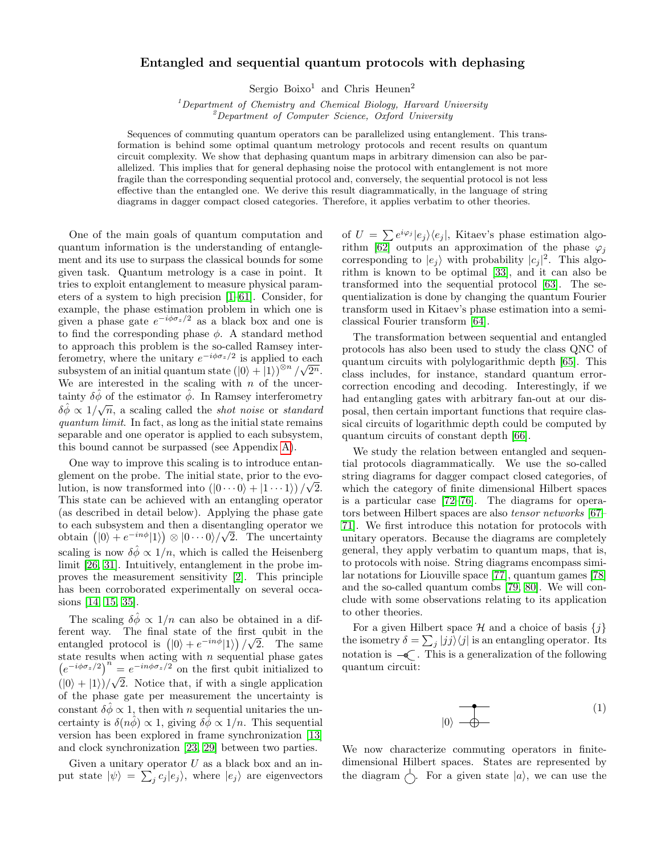## Entangled and sequential quantum protocols with dephasing

Sergio Boixo<sup>1</sup> and Chris Heunen<sup>2</sup>

<sup>1</sup>Department of Chemistry and Chemical Biology, Harvard University  $2^{2}$ Department of Computer Science, Oxford University

Sequences of commuting quantum operators can be parallelized using entanglement. This transformation is behind some optimal quantum metrology protocols and recent results on quantum circuit complexity. We show that dephasing quantum maps in arbitrary dimension can also be parallelized. This implies that for general dephasing noise the protocol with entanglement is not more fragile than the corresponding sequential protocol and, conversely, the sequential protocol is not less effective than the entangled one. We derive this result diagrammatically, in the language of string diagrams in dagger compact closed categories. Therefore, it applies verbatim to other theories.

One of the main goals of quantum computation and quantum information is the understanding of entanglement and its use to surpass the classical bounds for some given task. Quantum metrology is a case in point. It tries to exploit entanglement to measure physical parameters of a system to high precision [\[1–](#page-4-0)[61\]](#page-4-1). Consider, for example, the phase estimation problem in which one is given a phase gate  $e^{-i\phi \sigma_z/2}$  as a black box and one is to find the corresponding phase  $\phi$ . A standard method to approach this problem is the so-called Ramsey interferometry, where the unitary  $e^{-i\phi \sigma_z/2}$  is applied to each subsystem of an initial quantum state  $(|0\rangle + |1\rangle)^{\otimes n}/\sqrt{2^n}$ . We are interested in the scaling with  $n$  of the uncertainty  $\delta \hat{\phi}$  of the estimator  $\hat{\phi}$ . In Ramsey interferometry  $\delta \hat{\phi} \propto 1/\sqrt{n}$ , a scaling called the *shot noise* or *standard* quantum limit. In fact, as long as the initial state remains separable and one operator is applied to each subsystem, this bound cannot be surpassed (see Appendix [A\)](#page-3-0).

One way to improve this scaling is to introduce entanglement on the probe. The initial state, prior to the evolution, is now transformed into  $(|0 \cdots 0\rangle + |1 \cdots 1\rangle)/\sqrt{2}$ . This state can be achieved with an entangling operator (as described in detail below). Applying the phase gate to each subsystem and then a disentangling operator we √ obtain  $(|0\rangle + e^{-in\phi}|1\rangle) \otimes |0 \cdots 0\rangle / \sqrt{2}$ . The uncertainty scaling is now  $\delta \hat{\phi} \propto 1/n$ , which is called the Heisenberg limit [\[26,](#page-4-2) [31\]](#page-4-3). Intuitively, entanglement in the probe improves the measurement sensitivity [\[2\]](#page-4-4). This principle has been corroborated experimentally on several occasions [\[14,](#page-4-5) [15,](#page-4-6) [35\]](#page-4-7).

The scaling  $\delta \hat{\phi} \propto 1/n$  can also be obtained in a different way. The final state of the first qubit in the entangled protocol is  $(|0\rangle + e^{-in\phi}|1\rangle)/\sqrt{2}$ . The same state results when acting with  $n$  sequential phase gates  $(e^{-i\phi\sigma_z/2})^n = e^{-in\phi\sigma_z/2}$  on the first qubit initialized to  $(|0\rangle + |1\rangle)/\sqrt{2}$ . Notice that, if with a single application of the phase gate per measurement the uncertainty is constant  $\delta \hat{\phi} \propto 1$ , then with *n* sequential unitaries the uncertainty is  $\delta(n\hat{\phi}) \propto 1$ , giving  $\delta \hat{\phi} \propto 1/n$ . This sequential version has been explored in frame synchronization [\[13\]](#page-4-8) and clock synchronization [\[23,](#page-4-9) [29\]](#page-4-10) between two parties.

Given a unitary operator  $U$  as a black box and an input state  $|\psi\rangle = \sum_j c_j |e_j\rangle$ , where  $|e_j\rangle$  are eigenvectors

of  $U = \sum e^{i\varphi_j} |e_j\rangle\langle e_j|$ , Kitaev's phase estimation algo-rithm [\[62\]](#page-4-11) outputs an approximation of the phase  $\varphi_j$ corresponding to  $|e_j\rangle$  with probability  $|c_j|^2$ . This algorithm is known to be optimal [\[33\]](#page-4-12), and it can also be transformed into the sequential protocol [\[63\]](#page-4-13). The sequentialization is done by changing the quantum Fourier transform used in Kitaev's phase estimation into a semiclassical Fourier transform [\[64\]](#page-4-14).

The transformation between sequential and entangled protocols has also been used to study the class QNC of quantum circuits with polylogarithmic depth [\[65\]](#page-4-15). This class includes, for instance, standard quantum errorcorrection encoding and decoding. Interestingly, if we had entangling gates with arbitrary fan-out at our disposal, then certain important functions that require classical circuits of logarithmic depth could be computed by quantum circuits of constant depth [\[66\]](#page-4-16).

We study the relation between entangled and sequential protocols diagrammatically. We use the so-called string diagrams for dagger compact closed categories, of which the category of finite dimensional Hilbert spaces is a particular case [\[72–](#page-5-0)[76\]](#page-5-1). The diagrams for operators between Hilbert spaces are also tensor networks [\[67–](#page-5-2) [71\]](#page-5-3). We first introduce this notation for protocols with unitary operators. Because the diagrams are completely general, they apply verbatim to quantum maps, that is, to protocols with noise. String diagrams encompass similar notations for Liouville space [\[77\]](#page-5-4), quantum games [\[78\]](#page-5-5) and the so-called quantum combs [\[79,](#page-5-6) [80\]](#page-5-7). We will conclude with some observations relating to its application to other theories.

For a given Hilbert space  $\mathcal H$  and a choice of basis  $\{j\}$ the isometry  $\delta = \sum_j |jj\rangle\langle j|$  is an entangling operator. Its notation is  $-\epsilon$ . This is a generalization of the following quantum circuit:

$$
|0\rangle \begin{array}{c}\n\bullet \\
\hline\n\bullet\n\end{array} \tag{1}
$$

We now characterize commuting operators in finitedimensional Hilbert spaces. States are represented by the diagram  $\left\langle \cdot \right\rangle$ . For a given state  $|a\rangle$ , we can use the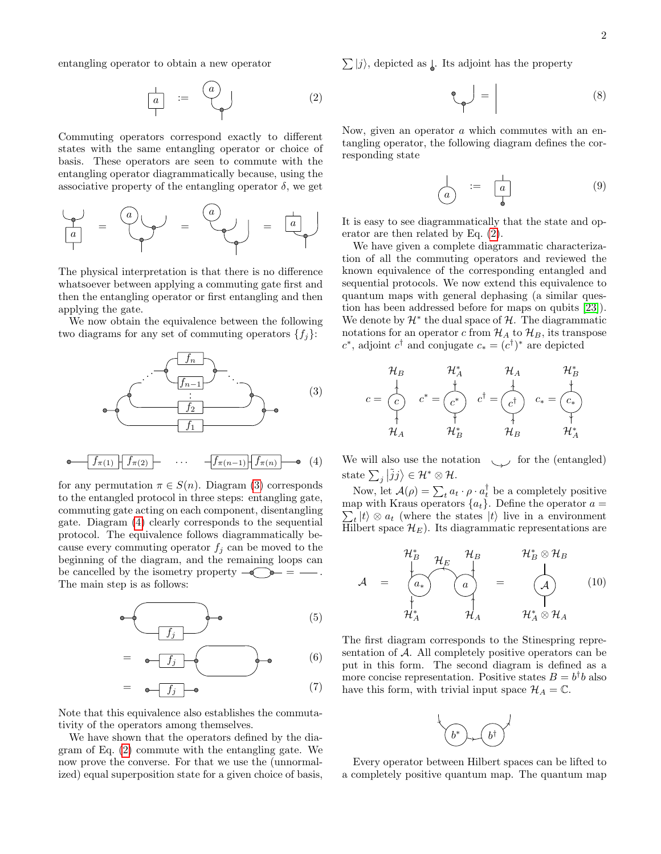entangling operator to obtain a new operator

$$
\begin{array}{|c|c|c|}\n\hline\na & := & \begin{pmatrix} a \\ \hline \end{pmatrix} & & & (2)\n\end{array}
$$

Commuting operators correspond exactly to different states with the same entangling operator or choice of basis. These operators are seen to commute with the entangling operator diagrammatically because, using the associative property of the entangling operator  $\delta$ , we get



The physical interpretation is that there is no difference whatsoever between applying a commuting gate first and then the entangling operator or first entangling and then applying the gate.

We now obtain the equivalence between the following two diagrams for any set of commuting operators  $\{f_i\}$ :



for any permutation  $\pi \in S(n)$ . Diagram [\(3\)](#page-1-0) corresponds to the entangled protocol in three steps: entangling gate, commuting gate acting on each component, disentangling gate. Diagram [\(4\)](#page-1-1) clearly corresponds to the sequential protocol. The equivalence follows diagrammatically because every commuting operator  $f_j$  can be moved to the beginning of the diagram, and the remaining loops can be cancelled by the isometry property  $-\widehat{\bullet}$   $\widehat{\bullet}$  =  $-\widehat{\bullet}$ . The main step is as follows:

$$
\bullet \left( \begin{array}{c} \bullet \\ \hline f_j \end{array} \right) \bullet \qquad (5)
$$

$$
= \underbrace{\bullet \f_j \quad \bullet \qquad}_{(6)}
$$

$$
= \bullet \boxed{f_j} \bullet \tag{7}
$$

Note that this equivalence also establishes the commutativity of the operators among themselves.

We have shown that the operators defined by the diagram of Eq. [\(2\)](#page-1-2) commute with the entangling gate. We now prove the converse. For that we use the (unnormalized) equal superposition state for a given choice of basis,

<span id="page-1-2"></span> $\sum_j|j\rangle$ , depicted as  $\lfloor$ . Its adjoint has the property

$$
\mathcal{L}_{\mathcal{P}} = \begin{bmatrix} 0 & 0 \\ 0 & 0 \end{bmatrix} = \begin{bmatrix} 0 & 0 \\ 0 & 0 \end{bmatrix}
$$

Now, given an operator a which commutes with an entangling operator, the following diagram defines the corresponding state

$$
\begin{array}{ccc}\n\downarrow & := & \downarrow \\
\hline\na & & & \\
\end{array}
$$
\n(9)

It is easy to see diagrammatically that the state and operator are then related by Eq. [\(2\)](#page-1-2).

We have given a complete diagrammatic characterization of all the commuting operators and reviewed the known equivalence of the corresponding entangled and sequential protocols. We now extend this equivalence to quantum maps with general dephasing (a similar question has been addressed before for maps on qubits [\[23\]](#page-4-9)). We denote by  $\mathcal{H}^*$  the dual space of  $\mathcal{H}$ . The diagrammatic notations for an operator c from  $\mathcal{H}_A$  to  $\mathcal{H}_B$ , its transpose  $c^*$ , adjoint  $c^{\dagger}$  and conjugate  $c_* = (c^{\dagger})^*$  are depicted

<span id="page-1-0"></span>
$$
c = \begin{pmatrix} \mathcal{H}_B & \mathcal{H}_A^* & \mathcal{H}_A & \mathcal{H}_B^* \\ \downarrow & \downarrow & \downarrow & \downarrow \\ c^* & \downarrow & \downarrow & \downarrow \\ \uparrow & \downarrow & \downarrow & \downarrow & \downarrow \\ \mathcal{H}_A & \mathcal{H}_B^* & \mathcal{H}_B & \mathcal{H}_A^* \end{pmatrix}
$$

<span id="page-1-1"></span>We will also use the notation  $\sim$  for the (entangled) state  $\sum_j |\tilde{j}j\rangle \in \mathcal{H}^* \otimes \mathcal{H}$ .

Now, let  $\mathcal{A}(\rho) = \sum_t a_t \cdot \rho \cdot a_t^{\dagger}$  be a completely positive  $\sum_{t} |t\rangle \otimes a_t$  (where the states  $|t\rangle$  live in a environment map with Kraus operators  ${a_t}$ . Define the operator  $a =$ Hilbert space  $\mathcal{H}_E$ ). Its diagrammatic representations are

$$
\mathcal{A} = \begin{bmatrix} \mathcal{H}_{B}^{*} & \mathcal{H}_{B} & \mathcal{H}_{B} \ \mathcal{H}_{B} & \ddots & \ddots & \ddots & \vdots \\ \mathcal{H}_{A}^{*} & \mathcal{H}_{A} & \mathcal{H}_{A} & \mathcal{H}_{A}^{*} \otimes \mathcal{H}_{A} & \end{bmatrix} \qquad (10)
$$

The first diagram corresponds to the Stinespring representation of A. All completely positive operators can be put in this form. The second diagram is defined as a more concise representation. Positive states  $B = b^{\dagger}b$  also have this form, with trivial input space  $\mathcal{H}_A = \mathbb{C}$ .



Every operator between Hilbert spaces can be lifted to a completely positive quantum map. The quantum map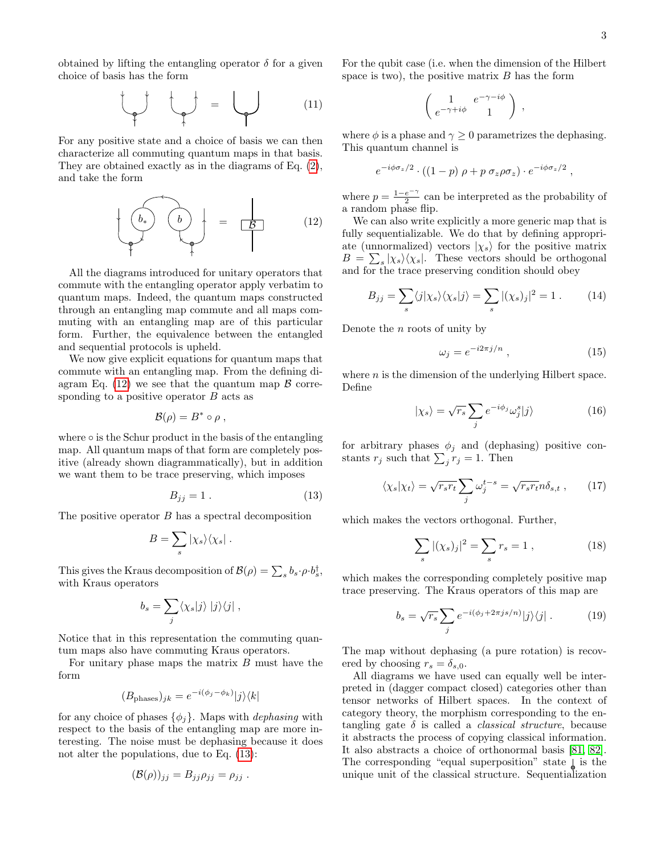obtained by lifting the entangling operator  $\delta$  for a given choice of basis has the form

$$
\begin{pmatrix} 1 & 1 \\ 1 & 1 \end{pmatrix} = \begin{pmatrix} 1 & 1 \\ 1 & 1 \end{pmatrix}
$$

For any positive state and a choice of basis we can then characterize all commuting quantum maps in that basis. They are obtained exactly as in the diagrams of Eq. [\(2\)](#page-1-2), and take the form

$$
\left\{\begin{array}{c}\n\begin{array}{c}\n\bullet \\
\bullet\n\end{array}\n\end{array}\n\right\}\n\right\} = \frac{\begin{array}{c}\n\bullet \\
\bullet \\
\bullet\n\end{array}\n\end{array} \tag{12}
$$

All the diagrams introduced for unitary operators that commute with the entangling operator apply verbatim to quantum maps. Indeed, the quantum maps constructed through an entangling map commute and all maps commuting with an entangling map are of this particular form. Further, the equivalence between the entangled and sequential protocols is upheld.

We now give explicit equations for quantum maps that commute with an entangling map. From the defining di-agram Eq. [\(12\)](#page-2-0) we see that the quantum map  $\beta$  corresponding to a positive operator  $B$  acts as

$$
\mathcal{B}(\rho) = B^* \circ \rho ,
$$

where  $\circ$  is the Schur product in the basis of the entangling map. All quantum maps of that form are completely positive (already shown diagrammatically), but in addition we want them to be trace preserving, which imposes

$$
B_{jj} = 1 \tag{13}
$$

The positive operator B has a spectral decomposition

$$
B=\sum_s |\chi_s\rangle\langle\chi_s|.
$$

This gives the Kraus decomposition of  $\mathcal{B}(\rho) = \sum_s b_s \cdot \rho \cdot b_s^{\dagger}$ , with Kraus operators

$$
b_s = \sum_j \langle \chi_s | j \rangle | j \rangle \langle j | ,
$$

Notice that in this representation the commuting quantum maps also have commuting Kraus operators.

For unitary phase maps the matrix  $B$  must have the form

$$
(B_{\text{phases}})_{jk} = e^{-i(\phi_j - \phi_k)}|j\rangle\langle k|
$$

for any choice of phases  $\{\phi_i\}$ . Maps with *dephasing* with respect to the basis of the entangling map are more interesting. The noise must be dephasing because it does not alter the populations, due to Eq. [\(13\)](#page-2-1):

$$
(\mathcal{B}(\rho))_{jj}=B_{jj}\rho_{jj}=\rho_{jj}.
$$

For the qubit case (i.e. when the dimension of the Hilbert space is two), the positive matrix  $B$  has the form

$$
\left(\begin{array}{cc} 1 & e^{-\gamma - i\phi} \\ e^{-\gamma + i\phi} & 1 \end{array}\right) ,
$$

where  $\phi$  is a phase and  $\gamma \geq 0$  parametrizes the dephasing. This quantum channel is

$$
e^{-i\phi\sigma_z/2} \cdot ((1-p)\,\rho + p\,\sigma_z\rho\sigma_z) \cdot e^{-i\phi\sigma_z/2} \ ,
$$

where  $p = \frac{1-e^{-\gamma}}{2}$  $\frac{e^{-t}}{2}$  can be interpreted as the probability of a random phase flip.

<span id="page-2-0"></span>We can also write explicitly a more generic map that is fully sequentializable. We do that by defining appropriate (unnormalized) vectors  $|\chi_s\rangle$  for the positive matrix  $B = \sum_{s} |\chi_s\rangle\langle\chi_s|$ . These vectors should be orthogonal and for the trace preserving condition should obey

$$
B_{jj} = \sum_{s} \langle j | \chi_s \rangle \langle \chi_s | j \rangle = \sum_{s} |(\chi_s)_j|^2 = 1. \tag{14}
$$

Denote the  $n$  roots of unity by

$$
\omega_j = e^{-i2\pi j/n} \,,\tag{15}
$$

where  $n$  is the dimension of the underlying Hilbert space. Define

$$
|\chi_s\rangle = \sqrt{r_s} \sum_j e^{-i\phi_j} \omega_j^s |j\rangle \tag{16}
$$

for arbitrary phases  $\phi_i$  and (dephasing) positive constants  $r_j$  such that  $\sum_j r_j = 1$ . Then

$$
\langle \chi_s | \chi_t \rangle = \sqrt{r_s r_t} \sum_j \omega_j^{t-s} = \sqrt{r_s r_t} n \delta_{s,t} , \qquad (17)
$$

<span id="page-2-1"></span>which makes the vectors orthogonal. Further,

$$
\sum_{s} |(\chi_s)_j|^2 = \sum_{s} r_s = 1 , \qquad (18)
$$

which makes the corresponding completely positive map trace preserving. The Kraus operators of this map are

$$
b_s = \sqrt{r_s} \sum_j e^{-i(\phi_j + 2\pi js/n)}|j\rangle\langle j|.
$$
 (19)

The map without dephasing (a pure rotation) is recovered by choosing  $r_s = \delta_{s,0}$ .

All diagrams we have used can equally well be interpreted in (dagger compact closed) categories other than tensor networks of Hilbert spaces. In the context of category theory, the morphism corresponding to the entangling gate  $\delta$  is called a *classical structure*, because it abstracts the process of copying classical information. It also abstracts a choice of orthonormal basis [\[81,](#page-5-8) [82\]](#page-5-9). The corresponding "equal superposition" state  $\downarrow$  is the unique unit of the classical structure. Sequentialization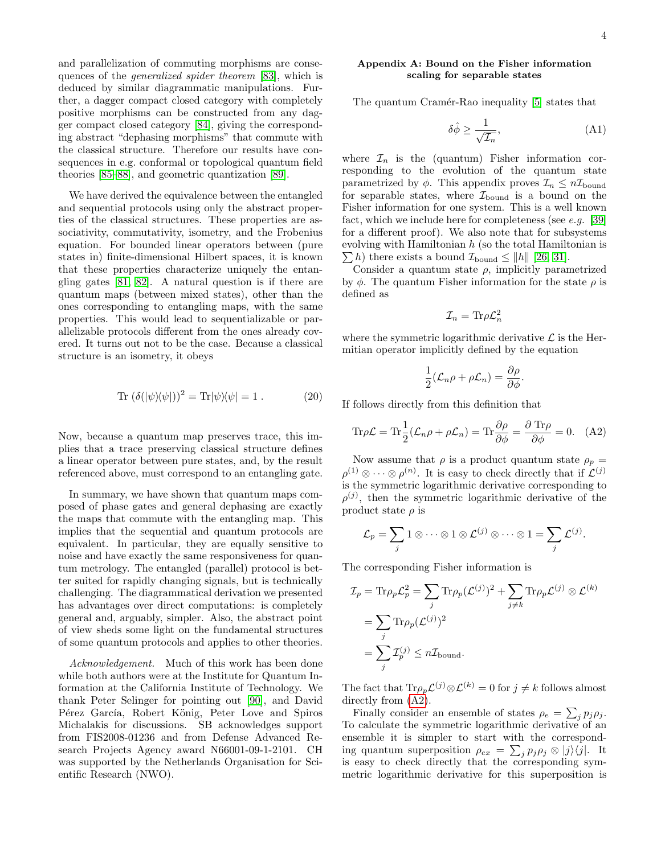and parallelization of commuting morphisms are consequences of the generalized spider theorem [\[83\]](#page-5-10), which is deduced by similar diagrammatic manipulations. Further, a dagger compact closed category with completely positive morphisms can be constructed from any dagger compact closed category [\[84\]](#page-5-11), giving the corresponding abstract "dephasing morphisms" that commute with the classical structure. Therefore our results have consequences in e.g. conformal or topological quantum field theories [\[85–](#page-5-12)[88\]](#page-5-13), and geometric quantization [\[89\]](#page-5-14).

We have derived the equivalence between the entangled and sequential protocols using only the abstract properties of the classical structures. These properties are associativity, commutativity, isometry, and the Frobenius equation. For bounded linear operators between (pure states in) finite-dimensional Hilbert spaces, it is known that these properties characterize uniquely the entangling gates [\[81,](#page-5-8) [82\]](#page-5-9). A natural question is if there are quantum maps (between mixed states), other than the ones corresponding to entangling maps, with the same properties. This would lead to sequentializable or parallelizable protocols different from the ones already covered. It turns out not to be the case. Because a classical structure is an isometry, it obeys

$$
Tr (\delta(|\psi\rangle\langle\psi|))^2 = Tr|\psi\rangle\langle\psi| = 1.
$$
 (20)

Now, because a quantum map preserves trace, this implies that a trace preserving classical structure defines a linear operator between pure states, and, by the result referenced above, must correspond to an entangling gate.

In summary, we have shown that quantum maps composed of phase gates and general dephasing are exactly the maps that commute with the entangling map. This implies that the sequential and quantum protocols are equivalent. In particular, they are equally sensitive to noise and have exactly the same responsiveness for quantum metrology. The entangled (parallel) protocol is better suited for rapidly changing signals, but is technically challenging. The diagrammatical derivation we presented has advantages over direct computations: is completely general and, arguably, simpler. Also, the abstract point of view sheds some light on the fundamental structures of some quantum protocols and applies to other theories.

Acknowledgement. Much of this work has been done while both authors were at the Institute for Quantum Information at the California Institute of Technology. We thank Peter Selinger for pointing out [\[90\]](#page-5-15), and David Pérez García, Robert König, Peter Love and Spiros Michalakis for discussions. SB acknowledges support from FIS2008-01236 and from Defense Advanced Research Projects Agency award N66001-09-1-2101. CH was supported by the Netherlands Organisation for Scientific Research (NWO).

## <span id="page-3-0"></span>Appendix A: Bound on the Fisher information scaling for separable states

The quantum Cramér-Rao inequality [\[5\]](#page-4-17) states that

$$
\delta \hat{\phi} \ge \frac{1}{\sqrt{\mathcal{I}_n}},\tag{A1}
$$

where  $\mathcal{I}_n$  is the (quantum) Fisher information corresponding to the evolution of the quantum state parametrized by  $\phi$ . This appendix proves  $\mathcal{I}_n \leq n\mathcal{I}_{\text{bound}}$ for separable states, where  $\mathcal{I}_{\text{bound}}$  is a bound on the Fisher information for one system. This is a well known fact, which we include here for completeness (see  $e.g.$  [\[39\]](#page-4-18) for a different proof). We also note that for subsystems evolving with Hamiltonian  $h$  (so the total Hamiltonian is  $\sum h$ ) there exists a bound  $\mathcal{I}_{\text{bound}} \leq ||h||$  [\[26,](#page-4-2) [31\]](#page-4-3).

Consider a quantum state  $\rho$ , implicitly parametrized by  $\phi$ . The quantum Fisher information for the state  $\rho$  is defined as

$$
\mathcal{I}_n = \text{Tr}\rho \mathcal{L}_n^2
$$

where the symmetric logarithmic derivative  $\mathcal L$  is the Hermitian operator implicitly defined by the equation

<span id="page-3-1"></span>
$$
\frac{1}{2}(\mathcal{L}_n \rho + \rho \mathcal{L}_n) = \frac{\partial \rho}{\partial \phi}.
$$

If follows directly from this definition that

$$
\text{Tr}\rho\mathcal{L} = \text{Tr}\frac{1}{2}(\mathcal{L}_n\rho + \rho\mathcal{L}_n) = \text{Tr}\frac{\partial\rho}{\partial\phi} = \frac{\partial \text{Tr}\rho}{\partial\phi} = 0. \quad (A2)
$$

Now assume that  $\rho$  is a product quantum state  $\rho_p =$  $\rho^{(1)} \otimes \cdots \otimes \rho^{(n)}$ . It is easy to check directly that if  $\mathcal{L}^{(j)}$ is the symmetric logarithmic derivative corresponding to  $\rho^{(j)}$ , then the symmetric logarithmic derivative of the product state  $\rho$  is

$$
\mathcal{L}_p = \sum_j 1 \otimes \cdots \otimes 1 \otimes \mathcal{L}^{(j)} \otimes \cdots \otimes 1 = \sum_j \mathcal{L}^{(j)}.
$$

The corresponding Fisher information is

$$
\mathcal{I}_p = \text{Tr}\rho_p \mathcal{L}_p^2 = \sum_j \text{Tr}\rho_p (\mathcal{L}^{(j)})^2 + \sum_{j \neq k} \text{Tr}\rho_p \mathcal{L}^{(j)} \otimes \mathcal{L}^{(k)}
$$

$$
= \sum_j \text{Tr}\rho_p (\mathcal{L}^{(j)})^2
$$

$$
= \sum_j \mathcal{I}_p^{(j)} \le n\mathcal{I}_{\text{bound}}.
$$

The fact that  $\text{Tr}\rho_p \mathcal{L}^{(j)} \otimes \mathcal{L}^{(k)} = 0$  for  $j \neq k$  follows almost directly from  $(A2)$ .

Finally consider an ensemble of states  $\rho_e = \sum_j p_j \rho_j$ . To calculate the symmetric logarithmic derivative of an ensemble it is simpler to start with the corresponding quantum superposition  $\rho_{ex} = \sum_j p_j \rho_j \otimes |j\rangle\langle j|$ . It is easy to check directly that the corresponding symmetric logarithmic derivative for this superposition is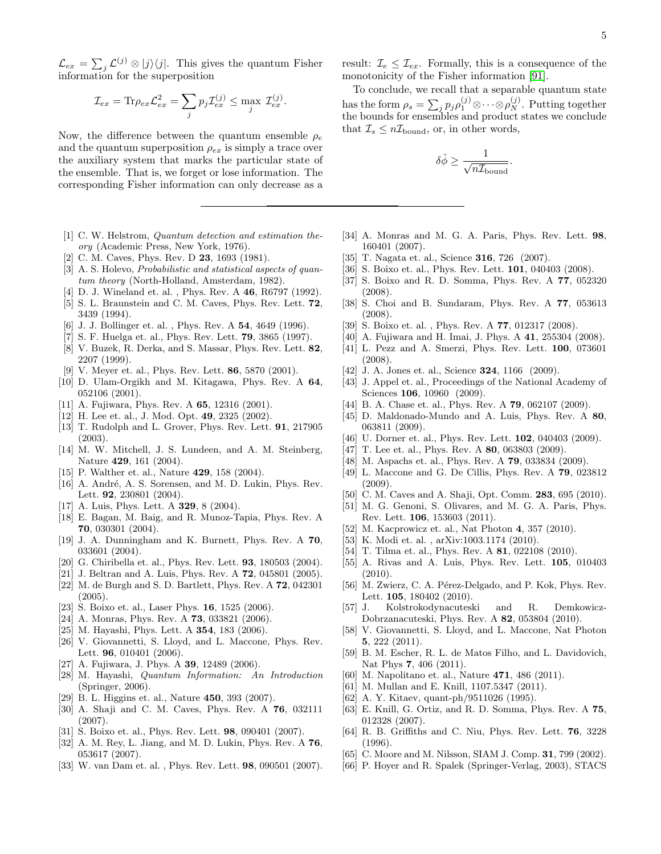$\mathcal{L}_{ex} = \sum_{j} \mathcal{L}^{(j)} \otimes |j\rangle\langle j|.$  This gives the quantum Fisher information for the superposition

$$
\mathcal{I}_{ex} = \text{Tr}\rho_{ex}\mathcal{L}_{ex}^2 = \sum_j p_j \mathcal{I}_{ex}^{(j)} \le \max_j \mathcal{I}_{ex}^{(j)}.
$$

Now, the difference between the quantum ensemble  $\rho_e$ and the quantum superposition  $\rho_{ex}$  is simply a trace over the auxiliary system that marks the particular state of the ensemble. That is, we forget or lose information. The corresponding Fisher information can only decrease as a

- <span id="page-4-0"></span>[1] C. W. Helstrom, Quantum detection and estimation theory (Academic Press, New York, 1976).
- <span id="page-4-4"></span>[2] C. M. Caves, Phys. Rev. D 23, 1693 (1981).
- [3] A. S. Holevo, *Probabilistic and statistical aspects of quan*tum theory (North-Holland, Amsterdam, 1982).
- [4] D. J. Wineland et. al., Phys. Rev. A **46**, R6797 (1992).
- <span id="page-4-17"></span>[5] S. L. Braunstein and C. M. Caves, Phys. Rev. Lett. 72, 3439 (1994).
- [6] J. J. Bollinger et. al. , Phys. Rev. A 54, 4649 (1996).
- [7] S. F. Huelga et. al., Phys. Rev. Lett. 79, 3865 (1997).
- [8] V. Buzek, R. Derka, and S. Massar, Phys. Rev. Lett. 82, 2207 (1999).
- [9] V. Meyer et. al., Phys. Rev. Lett. **86**, 5870 (2001).
- [10] D. Ulam-Orgikh and M. Kitagawa, Phys. Rev. A 64, 052106 (2001).
- [11] A. Fujiwara, Phys. Rev. A 65, 12316 (2001).
- [12] H. Lee et. al., J. Mod. Opt. 49, 2325 (2002).
- <span id="page-4-8"></span>[13] T. Rudolph and L. Grover, Phys. Rev. Lett. **91**, 217905 (2003).
- <span id="page-4-5"></span>[14] M. W. Mitchell, J. S. Lundeen, and A. M. Steinberg, Nature 429, 161 (2004).
- <span id="page-4-6"></span>[15] P. Walther et. al., Nature **429**, 158 (2004).
- [16] A. André, A. S. Sorensen, and M. D. Lukin, Phys. Rev. Lett. **92**, 230801 (2004).
- [17] A. Luis, Phys. Lett. A **329**, 8 (2004).
- [18] E. Bagan, M. Baig, and R. Munoz-Tapia, Phys. Rev. A 70, 030301 (2004).
- [19] J. A. Dunningham and K. Burnett, Phys. Rev. A 70, 033601 (2004).
- [20] G. Chiribella et. al., Phys. Rev. Lett. 93, 180503 (2004).
- [21] J. Beltran and A. Luis, Phys. Rev. A **72**, 045801 (2005).
- [22] M. de Burgh and S. D. Bartlett, Phys. Rev. A 72, 042301 (2005).
- <span id="page-4-9"></span>[23] S. Boixo et. al., Laser Phys. 16, 1525 (2006).
- [24] A. Monras, Phys. Rev. A **73**, 033821 (2006).
- [25] M. Hayashi, Phys. Lett. A **354**, 183 (2006).
- <span id="page-4-2"></span>[26] V. Giovannetti, S. Lloyd, and L. Maccone, Phys. Rev. Lett. **96**, 010401 (2006).
- [27] A. Fujiwara, J. Phys. A **39**, 12489 (2006).
- [28] M. Hayashi, Quantum Information: An Introduction (Springer, 2006).
- <span id="page-4-10"></span>[29] B. L. Higgins et. al., Nature 450, 393 (2007).
- [30] A. Shaji and C. M. Caves, Phys. Rev. A 76, 032111 (2007).
- <span id="page-4-3"></span>[31] S. Boixo et. al., Phys. Rev. Lett. 98, 090401 (2007).
- [32] A. M. Rey, L. Jiang, and M. D. Lukin, Phys. Rev. A 76, 053617 (2007).
- <span id="page-4-12"></span>[33] W. van Dam et. al. , Phys. Rev. Lett. 98, 090501 (2007).

result:  $\mathcal{I}_e \leq \mathcal{I}_{ex}$ . Formally, this is a consequence of the monotonicity of the Fisher information [\[91\]](#page-5-16).

To conclude, we recall that a separable quantum state has the form  $\rho_s = \sum_j p_j \rho_1^{(j)} \otimes \cdots \otimes \rho_N^{(j)}$ . Putting together the bounds for ensembles and product states we conclude that  $\mathcal{I}_s \leq n\mathcal{I}_{\text{bound}}$ , or, in other words,

$$
\delta \hat{\phi} \geq \frac{1}{\sqrt{n \mathcal{I}_\text{bound}}}.
$$

- [34] A. Monras and M. G. A. Paris, Phys. Rev. Lett. 98, 160401 (2007).
- <span id="page-4-7"></span>[35] T. Nagata et. al., Science 316, 726 (2007).
- [36] S. Boixo et. al., Phys. Rev. Lett. **101**, 040403 (2008).
- [37] S. Boixo and R. D. Somma, Phys. Rev. A 77, 052320 (2008).
- [38] S. Choi and B. Sundaram, Phys. Rev. A 77, 053613 (2008).
- <span id="page-4-18"></span>[39] S. Boixo et. al. , Phys. Rev. A 77, 012317 (2008).
- [40] A. Fujiwara and H. Imai, J. Phys. A 41, 255304 (2008).
- [41] L. Pezz and A. Smerzi, Phys. Rev. Lett. **100**, 073601 (2008).
- [42] J. A. Jones et. al., Science **324**, 1166 (2009).
- [43] J. Appel et. al., Proceedings of the National Academy of Sciences **106**, 10960 (2009).
- [44] B. A. Chase et. al., Phys. Rev. A **79**, 062107 (2009).
- [45] D. Maldonado-Mundo and A. Luis, Phys. Rev. A 80, 063811 (2009).
- [46] U. Dorner et. al., Phys. Rev. Lett. **102**, 040403 (2009).
- [47] T. Lee et. al., Phys. Rev. A **80**, 063803 (2009).
- [48] M. Aspachs et. al., Phys. Rev. A **79**, 033834 (2009).
- [49] L. Maccone and G. De Cillis, Phys. Rev. A 79, 023812 (2009).
- [50] C. M. Caves and A. Shaji, Opt. Comm. **283**, 695 (2010).
- [51] M. G. Genoni, S. Olivares, and M. G. A. Paris, Phys. Rev. Lett. 106, 153603 (2011).
- [52] M. Kacprowicz et. al., Nat Photon 4, 357 (2010).
- [53] K. Modi et. al. , arXiv:1003.1174 (2010).
- [54] T. Tilma et. al., Phys. Rev. A 81, 022108 (2010).
- [55] A. Rivas and A. Luis, Phys. Rev. Lett. 105, 010403 (2010).
- [56] M. Zwierz, C. A. Pérez-Delgado, and P. Kok, Phys. Rev. Lett. 105, 180402 (2010).
- [57] J. Kolstrokodynacuteski and R. Demkowicz-Dobrzanacuteski, Phys. Rev. A 82, 053804 (2010).
- [58] V. Giovannetti, S. Lloyd, and L. Maccone, Nat Photon 5, 222 (2011).
- [59] B. M. Escher, R. L. de Matos Filho, and L. Davidovich, Nat Phys 7, 406 (2011).
- [60] M. Napolitano et. al., Nature 471, 486 (2011).
- <span id="page-4-1"></span>[61] M. Mullan and E. Knill, 1107.5347 (2011).
- <span id="page-4-11"></span>[62] A. Y. Kitaev, quant-ph/9511026 (1995).
- <span id="page-4-13"></span>[63] E. Knill, G. Ortiz, and R. D. Somma, Phys. Rev. A 75, 012328 (2007).
- <span id="page-4-14"></span>[64] R. B. Griffiths and C. Niu, Phys. Rev. Lett. 76, 3228 (1996).
- <span id="page-4-15"></span>[65] C. Moore and M. Nilsson, SIAM J. Comp. 31, 799 (2002).
- <span id="page-4-16"></span>[66] P. Hoyer and R. Spalek (Springer-Verlag, 2003), STACS